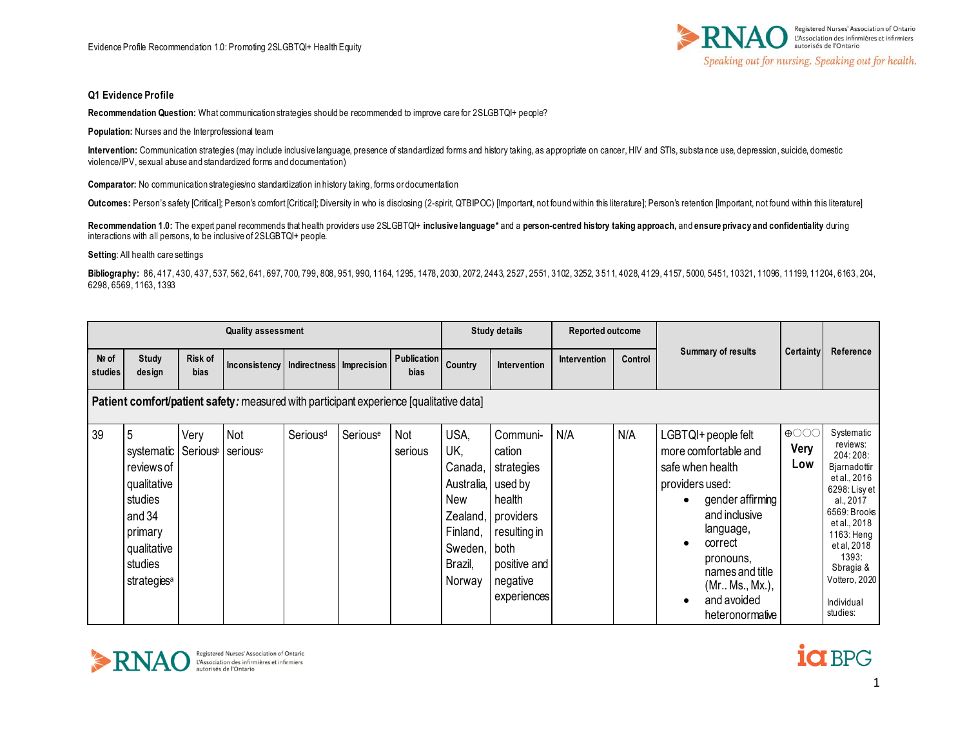

## **Q1 Evidence Profile**

**Recommendation Question:** What communication strategies should be recommended to improve care for 2SLGBTQI+ people?

**Population:** Nurses and the Interprofessional team

**Intervention:** Communication strategies (may include inclusive language, presence of standardized forms and history taking, as appropriate on cancer, HIV and STIs, substa nce use, depression, suicide, domestic violence/IPV, sexual abuse and standardized forms and documentation)

**Comparator:** No communication strategies/no standardization in history taking, forms or documentation

Outcomes: Person's safety [Critical]; Person's comfort [Critical]; Diversity in who is disclosing (2-spirit, QTBIPOC) [Important, not found within this literature]; Person's retention [Important, not found within this lite

**Recommendation 1.0:** The expert panel recommends that health providers use 2SLGBTQI+ **inclusive language\*** and a **person-centred history taking approach,** and **ensure privacy and confidentiality** during interactions with all persons, to be inclusive of 2SLGBTQI+ people.

**Setting:** All health care settings

**Bibliography:** 86, 417, 430, 437, 537, 562, 641, 697, 700, 799, 808, 951, 990, 1164, 1295, 1478, 2030, 2072, 2443, 2527, 2551, 3102, 3252, 3 511, 4028, 4129, 4157, 5000, 5451, 10321, 11096, 11199, 11204, 6163, 204, 6298, 6569, 1163, 1393

|                  |                                                                                                                                   |                               | <b>Quality assessment</b>                                                               |                      |          |                            |                                                                                                      | <b>Study details</b>                                                                                                        | Reported outcome |         |                                                                                                                                                                                                                                                                              |                                                                    |                                                                                                                                                                                                                                |
|------------------|-----------------------------------------------------------------------------------------------------------------------------------|-------------------------------|-----------------------------------------------------------------------------------------|----------------------|----------|----------------------------|------------------------------------------------------------------------------------------------------|-----------------------------------------------------------------------------------------------------------------------------|------------------|---------|------------------------------------------------------------------------------------------------------------------------------------------------------------------------------------------------------------------------------------------------------------------------------|--------------------------------------------------------------------|--------------------------------------------------------------------------------------------------------------------------------------------------------------------------------------------------------------------------------|
| Nº of<br>studies | Study<br>design                                                                                                                   | <b>Risk of</b><br><b>bias</b> | Inconsistency Indirectness Imprecision                                                  |                      |          | <b>Publication</b><br>bias | Country                                                                                              | Intervention                                                                                                                | Intervention     | Control | <b>Summary of results</b>                                                                                                                                                                                                                                                    | Certainty                                                          | Reference                                                                                                                                                                                                                      |
|                  |                                                                                                                                   |                               | Patient comfort/patient safety: measured with participant experience [qualitative data] |                      |          |                            |                                                                                                      |                                                                                                                             |                  |         |                                                                                                                                                                                                                                                                              |                                                                    |                                                                                                                                                                                                                                |
| 39               | 5<br>systematic<br>reviews of<br>qualitative<br>studies<br>and 34<br>primary<br>qualitative<br>studies<br>strategies <sup>a</sup> | Very                          | Not<br>Serious <sup>b</sup> serious <sup>c</sup>                                        | Serious <sup>d</sup> | Seriouse | Not<br>serious             | USA,<br>UK,<br>Canada,<br>Australia, used by<br>New<br>Finland,<br>Sweden, both<br>Brazil,<br>Norway | Communi-<br>cation<br>strategies<br>health<br>Zealand, providers<br>resulting in<br>positive and<br>negative<br>experiences | N/A              | N/A     | LGBTQI+ people felt<br>more comfortable and<br>safe when health<br>providers used:<br>gender affirming<br>$\bullet$<br>and inclusive<br>language,<br>correct<br>$\bullet$<br>pronouns,<br>names and title<br>(Mr., Ms., Mx.),<br>and avoided<br>$\bullet$<br>heteronormative | $\bigoplus$ $\bigcirc$ $\bigcirc$ $\bigcirc$<br><b>Very</b><br>Low | Systematic<br>reviews:<br>204:208:<br>Bjarnadottir<br>et al., 2016<br>6298: Lisy et<br>al., 2017<br>6569: Brooks<br>et al., 2018<br>1163: Heng<br>et al, 2018<br>1393:<br>Sbragia &<br>Vottero, 2020<br>Individual<br>studies: |



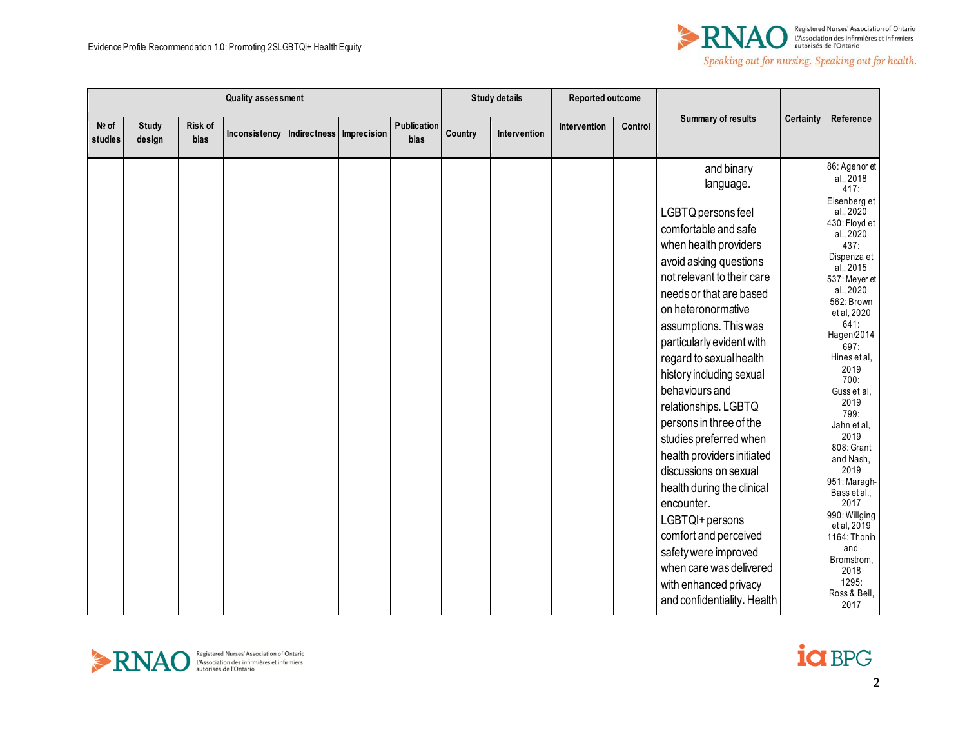

|                  |                        |                 | <b>Quality assessment</b> |                          |                     |         | <b>Study details</b> | Reported outcome |         |                                                                                                                                                                                                                                                                                                                                                                                                                                                                                                                                                                                                                                                                               |           |                                                                                                                                                                                                                                                                                                                                                                                                                                                                                                           |
|------------------|------------------------|-----------------|---------------------------|--------------------------|---------------------|---------|----------------------|------------------|---------|-------------------------------------------------------------------------------------------------------------------------------------------------------------------------------------------------------------------------------------------------------------------------------------------------------------------------------------------------------------------------------------------------------------------------------------------------------------------------------------------------------------------------------------------------------------------------------------------------------------------------------------------------------------------------------|-----------|-----------------------------------------------------------------------------------------------------------------------------------------------------------------------------------------------------------------------------------------------------------------------------------------------------------------------------------------------------------------------------------------------------------------------------------------------------------------------------------------------------------|
| Nº of<br>studies | <b>Study</b><br>design | Risk of<br>bias | Inconsistency             | Indirectness Imprecision | Publication<br>bias | Country | Intervention         | Intervention     | Control | <b>Summary of results</b>                                                                                                                                                                                                                                                                                                                                                                                                                                                                                                                                                                                                                                                     | Certainty | Reference                                                                                                                                                                                                                                                                                                                                                                                                                                                                                                 |
|                  |                        |                 |                           |                          |                     |         |                      |                  |         | and binary<br>language.<br>LGBTQ persons feel<br>comfortable and safe<br>when health providers<br>avoid asking questions<br>not relevant to their care<br>needs or that are based<br>on heteronormative<br>assumptions. This was<br>particularly evident with<br>regard to sexual health<br>history including sexual<br>behaviours and<br>relationships. LGBTQ<br>persons in three of the<br>studies preferred when<br>health providers initiated<br>discussions on sexual<br>health during the clinical<br>encounter.<br>LGBTQI+ persons<br>comfort and perceived<br>safety were improved<br>when care was delivered<br>with enhanced privacy<br>and confidentiality. Health |           | 86: Agenor et<br>al., 2018<br>417:<br>Eisenberg et<br>al., 2020<br>430: Floyd et<br>al., 2020<br>437:<br>Dispenza et<br>al., 2015<br>537: Meyer et<br>al., 2020<br>562: Brown<br>et al, 2020<br>641:<br>Hagen/2014<br>697:<br>Hines et al.<br>2019<br>700:<br>Guss et al.<br>2019<br>799:<br>Jahn et al,<br>2019<br>808: Grant<br>and Nash,<br>2019<br>951: Maragh-<br>Bass et al.,<br>2017<br>990: Willging<br>et al, 2019<br>1164: Thonin<br>and<br>Bromstrom,<br>2018<br>1295:<br>Ross & Bell,<br>2017 |



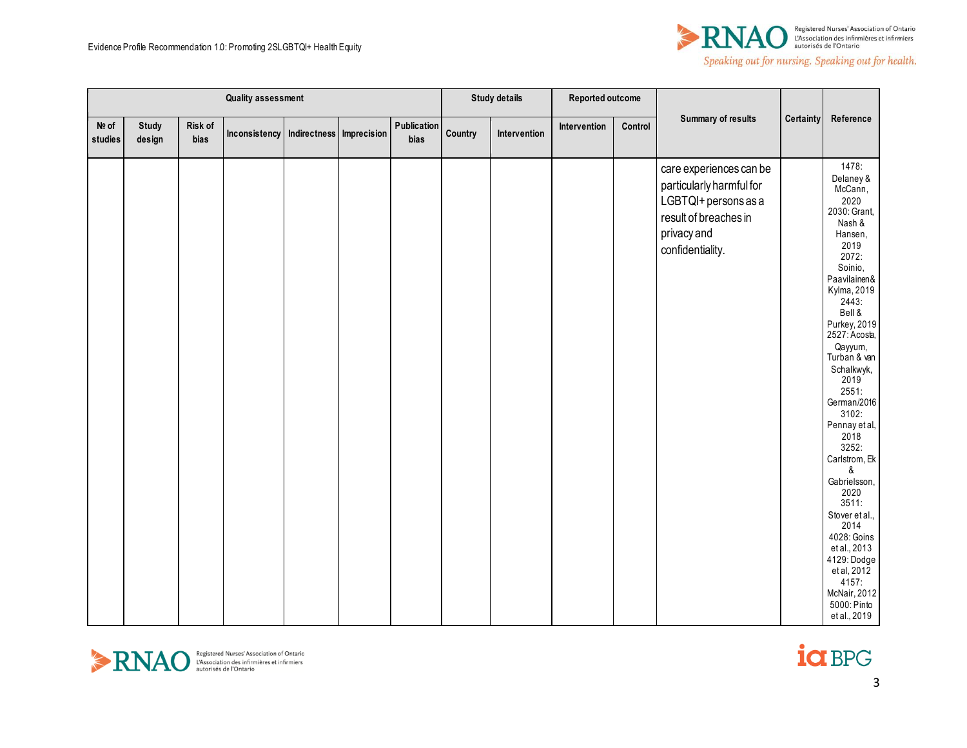

|                  | <b>Quality assessment</b> |                 |                                            |  | <b>Study details</b> | Reported outcome |              |              |         |                                                                                                                                         |           |                                                                                                                                                                                                                                                                                                                                                                                                                                                                                                                     |
|------------------|---------------------------|-----------------|--------------------------------------------|--|----------------------|------------------|--------------|--------------|---------|-----------------------------------------------------------------------------------------------------------------------------------------|-----------|---------------------------------------------------------------------------------------------------------------------------------------------------------------------------------------------------------------------------------------------------------------------------------------------------------------------------------------------------------------------------------------------------------------------------------------------------------------------------------------------------------------------|
| Nº of<br>studies | <b>Study</b><br>design    | Risk of<br>bias | Inconsistency   Indirectness   Imprecision |  | Publication<br>bias  | Country          | Intervention | Intervention | Control | <b>Summary of results</b>                                                                                                               | Certainty | Reference                                                                                                                                                                                                                                                                                                                                                                                                                                                                                                           |
|                  |                           |                 |                                            |  |                      |                  |              |              |         | care experiences can be<br>particularly harmful for<br>LGBTQI+ persons as a<br>result of breaches in<br>privacy and<br>confidentiality. |           | 1478:<br>Delaney &<br>McCann,<br>2020<br>2030: Grant,<br>Nash &<br>Hansen,<br>2019<br>2072:<br>Soinio,<br>Paavilainen&<br>Kylma, 2019<br>2443:<br>Bell &<br>Purkey, 2019<br>2527: Acosta,<br>Qayyum,<br>Turban & van<br>Schalkwyk,<br>2019<br>2551:<br>German/2016<br>3102:<br>Pennay et al,<br>2018<br>3252:<br>Carlstrom, Ek<br>&<br>Gabrielsson,<br>2020<br>3511:<br>Stover et al.,<br>2014<br>4028: Goins<br>et al., 2013<br>4129: Dodge<br>et al, 2012<br>4157:<br>McNair, 2012<br>5000: Pinto<br>et al., 2019 |



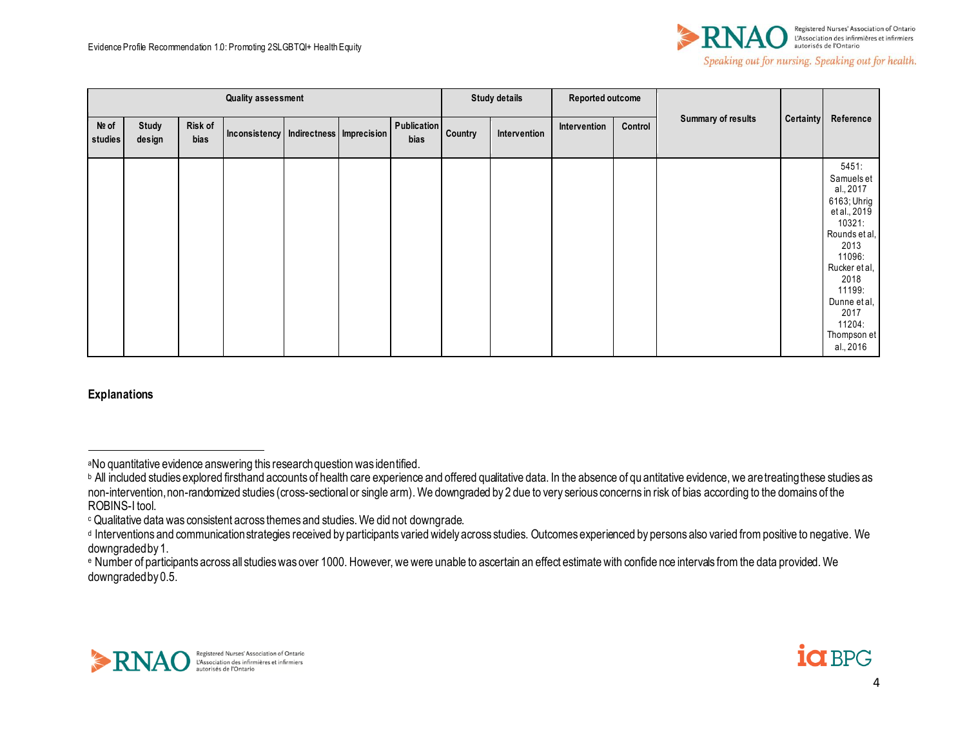

|                    | <b>Quality assessment</b> |                 |                                        |  |  |                            | <b>Study details</b> | Reported outcome |              |         |                           |                  |                                                                                                                                                                                                               |
|--------------------|---------------------------|-----------------|----------------------------------------|--|--|----------------------------|----------------------|------------------|--------------|---------|---------------------------|------------------|---------------------------------------------------------------------------------------------------------------------------------------------------------------------------------------------------------------|
| $Ne$ of<br>studies | Study<br>design           | Risk of<br>bias | Inconsistency Indirectness Imprecision |  |  | <b>Publication</b><br>bias | Country              | Intervention     | Intervention | Control | <b>Summary of results</b> | <b>Certainty</b> | Reference                                                                                                                                                                                                     |
|                    |                           |                 |                                        |  |  |                            |                      |                  |              |         |                           |                  | 5451:<br>Samuels et<br>al., 2017<br>6163; Uhrig<br>et al., 2019<br>10321:<br>Rounds et al,<br>2013<br>11096:<br>Rucker et al,<br>2018<br>11199:<br>Dunne et al,<br>2017<br>11204:<br>Thompson et<br>al., 2016 |

**Explanations**





<sup>a</sup>No quantitative evidence answering this research question was identified.

**b** All included studies explored firsthand accounts of health care experience and offered qualitative data. In the absence of qu antitative evidence, we are treating these studies as non-intervention, non-randomized studies (cross-sectional or single arm). We downgraded by 2 due to very serious concerns in risk of bias according to the domains of the ROBINS-I tool.

<sup>c</sup> Qualitative data was consistent across themes and studies. We did not downgrade.

d Interventions and communication strategies received by participants varied widely across studies. Outcomes experienced by persons also varied from positive to negative. We downgraded by 1.

<sup>e</sup> Number of participants across all studies was over 1000. However, we were unable to ascertain an effect estimate with confide nce intervals from the data provided. We downgraded by 0.5.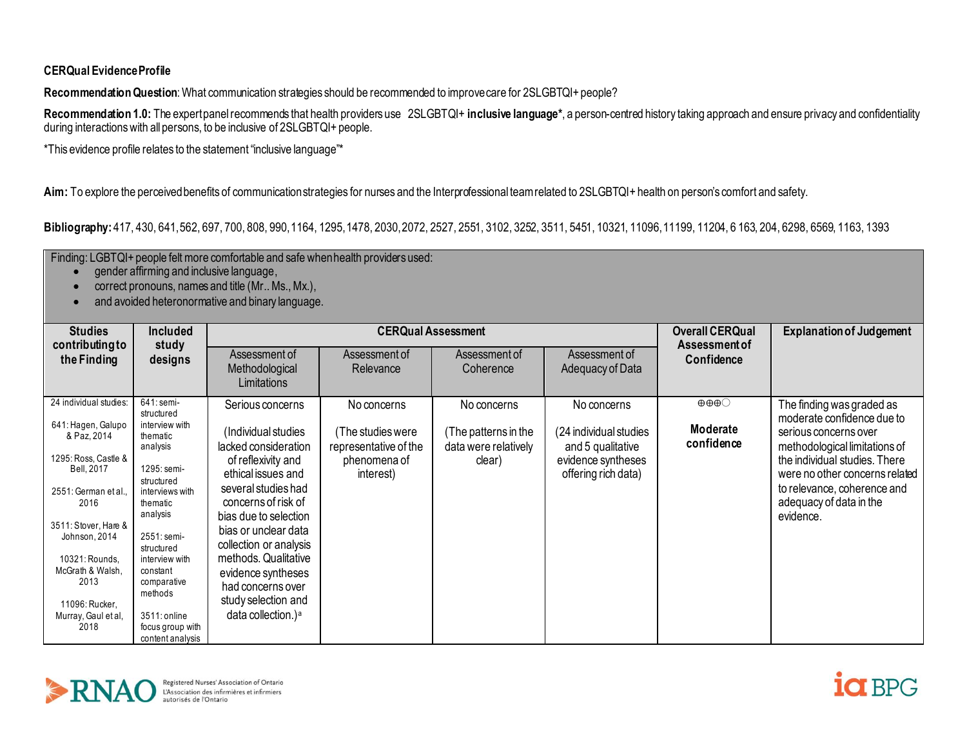## **CERQual Evidence Profile**

**Recommendation Question**: What communication strategies should be recommended to improve care for 2SLGBTQI+ people?

Recommendation 1.0: The expert panel recommends that health providers use 2SLGBTQI+ inclusive language<sup>\*</sup>, a person-centred history taking approach and ensure privacy and confidentiality during interactions with all persons, to be inclusive of 2SLGBTQI+ people.

\*This evidence profile relates to the statement "inclusive language"\*

**Aim:** To explore the perceived benefits of communication strategies for nurses and the Interprofessional team related to 2SLGBTQI+ health on person's comfort and safety.

**Bibliography:** 417, 430, 641, 562, 697, 700, 808, 990, 1164, 1295, 1478, 2030, 2072, 2527, 2551, 3102, 3252, 3511, 5451, 10321, 11096, 11199, 11204, 6 163, 204, 6298, 6569, 1163, 1393

Finding: LGBTQI+ people felt more comfortable and safe when health providers used:

- gender affirming and inclusive language,
- correct pronouns, names and title (Mr., Ms., Mx.),
- and avoided heteronormative and binary language.

| <b>Studies</b><br>contributing to            | <b>Included</b><br>study                             |                                                                 | <b>CERQual Assessment</b>                  |                                              |                                             | <b>Overall CERQual</b><br>Assessment of         | <b>Explanation of Judgement</b>                                     |
|----------------------------------------------|------------------------------------------------------|-----------------------------------------------------------------|--------------------------------------------|----------------------------------------------|---------------------------------------------|-------------------------------------------------|---------------------------------------------------------------------|
| the Finding                                  | designs                                              | Assessment of<br>Methodological<br>Limitations                  | Assessment of<br>Relevance                 | Assessment of<br>Coherence                   | Assessment of<br>Adequacy of Data           | Confidence                                      |                                                                     |
| 24 individual studies:<br>641: Hagen, Galupo | 641: semi-<br>structured<br>interview with           | Serious concerns                                                | No concerns                                | No concerns                                  | No concerns                                 | $\oplus \oplus \oplus \odot$<br><b>Moderate</b> | The finding was graded as<br>moderate confidence due to             |
| & Paz, 2014<br>1295: Ross, Castle &          | thematic<br>analysis                                 | (Individual studies<br>lacked consideration                     | (The studies were<br>representative of the | (The patterns in the<br>data were relatively | (24 individual studies<br>and 5 qualitative | confidence                                      | serious concerns over<br>methodological limitations of              |
| <b>Bell. 2017</b>                            | 1295: semi-<br>structured                            | of reflexivity and<br>ethical issues and<br>several studies had | phenomena of<br>interest)                  | clear)                                       | evidence syntheses<br>offering rich data)   |                                                 | the individual studies. There<br>were no other concerns related     |
| 2551: German et al<br>2016                   | interviews with<br>thematic<br>analysis              | concerns of risk of<br>bias due to selection                    |                                            |                                              |                                             |                                                 | to relevance, coherence and<br>adequacy of data in the<br>evidence. |
| 3511: Stover, Hare &<br>Johnson, 2014        | 2551: semi-<br>structured                            | bias or unclear data<br>collection or analysis                  |                                            |                                              |                                             |                                                 |                                                                     |
| 10321: Rounds.<br>McGrath & Walsh,           | interview with<br>constant                           | methods. Qualitative<br>evidence syntheses                      |                                            |                                              |                                             |                                                 |                                                                     |
| 2013<br>11096: Rucker.                       | comparative<br>methods                               | had concerns over<br>study selection and                        |                                            |                                              |                                             |                                                 |                                                                     |
| Murray, Gaul et al,<br>2018                  | 3511: online<br>focus group with<br>content analysis | data collection.) <sup>a</sup>                                  |                                            |                                              |                                             |                                                 |                                                                     |



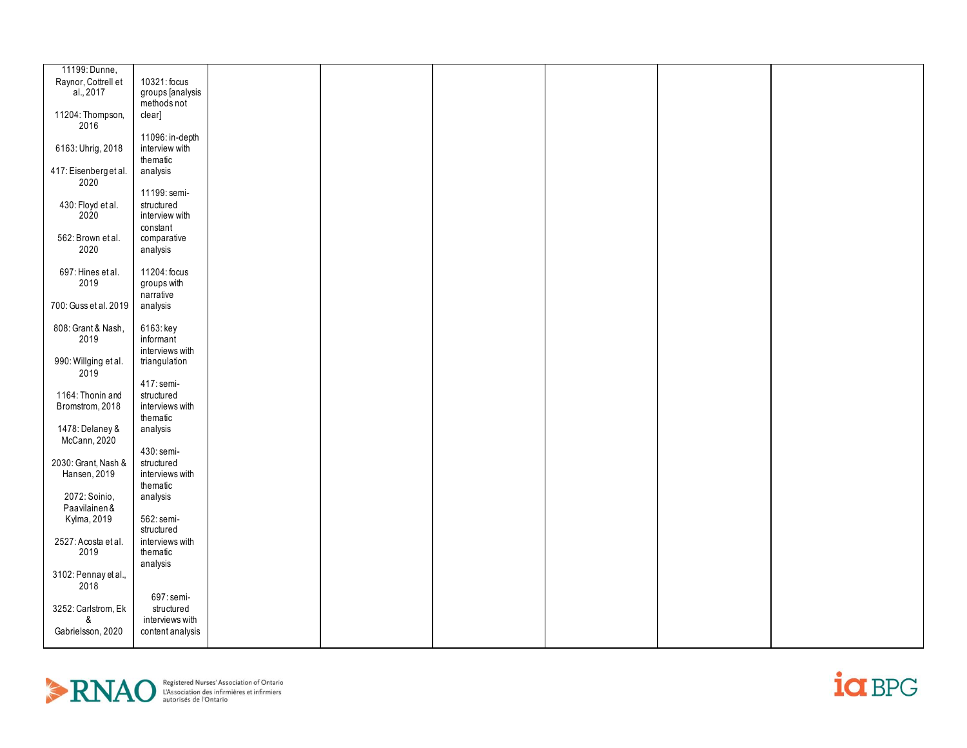| 11199: Dunne,         |                  |  |  |  |
|-----------------------|------------------|--|--|--|
|                       |                  |  |  |  |
| Raynor, Cottrell et   | 10321: focus     |  |  |  |
| al., 2017             | groups [analysis |  |  |  |
|                       | methods not      |  |  |  |
| 11204: Thompson,      | clear]           |  |  |  |
| 2016                  |                  |  |  |  |
|                       | 11096: in-depth  |  |  |  |
| 6163: Uhrig, 2018     | interview with   |  |  |  |
|                       |                  |  |  |  |
|                       | thematic         |  |  |  |
| 417: Eisenberg et al. | analysis         |  |  |  |
| 2020                  |                  |  |  |  |
|                       | 11199: semi-     |  |  |  |
| 430: Floyd et al.     | structured       |  |  |  |
| 2020                  | interview with   |  |  |  |
|                       | constant         |  |  |  |
| 562: Brown et al.     | comparative      |  |  |  |
|                       |                  |  |  |  |
| 2020                  | analysis         |  |  |  |
|                       |                  |  |  |  |
| 697: Hines et al.     | 11204: focus     |  |  |  |
| 2019                  | groups with      |  |  |  |
|                       | narrative        |  |  |  |
| 700: Guss et al. 2019 | analysis         |  |  |  |
|                       |                  |  |  |  |
| 808: Grant & Nash,    | 6163: key        |  |  |  |
|                       |                  |  |  |  |
| 2019                  | informant        |  |  |  |
|                       | interviews with  |  |  |  |
| 990: Willging et al.  | triangulation    |  |  |  |
| 2019                  |                  |  |  |  |
|                       | 417: semi-       |  |  |  |
| 1164: Thonin and      | structured       |  |  |  |
| Bromstrom, 2018       | interviews with  |  |  |  |
|                       | thematic         |  |  |  |
|                       |                  |  |  |  |
| 1478: Delaney &       | analysis         |  |  |  |
| McCann, 2020          |                  |  |  |  |
|                       | 430: semi-       |  |  |  |
| 2030: Grant, Nash &   | structured       |  |  |  |
| Hansen, 2019          | interviews with  |  |  |  |
|                       | thematic         |  |  |  |
| 2072: Soinio,         | analysis         |  |  |  |
| Paavilainen &         |                  |  |  |  |
|                       |                  |  |  |  |
| Kylma, 2019           | 562: semi-       |  |  |  |
|                       | structured       |  |  |  |
| 2527: Acosta et al.   | interviews with  |  |  |  |
| 2019                  | thematic         |  |  |  |
|                       | analysis         |  |  |  |
| 3102: Pennay et al.,  |                  |  |  |  |
| 2018                  |                  |  |  |  |
|                       | 697: semi-       |  |  |  |
|                       |                  |  |  |  |
| 3252: Carlstrom, Ek   | structured       |  |  |  |
| ጼ                     | interviews with  |  |  |  |
| Gabrielsson, 2020     | content analysis |  |  |  |
|                       |                  |  |  |  |



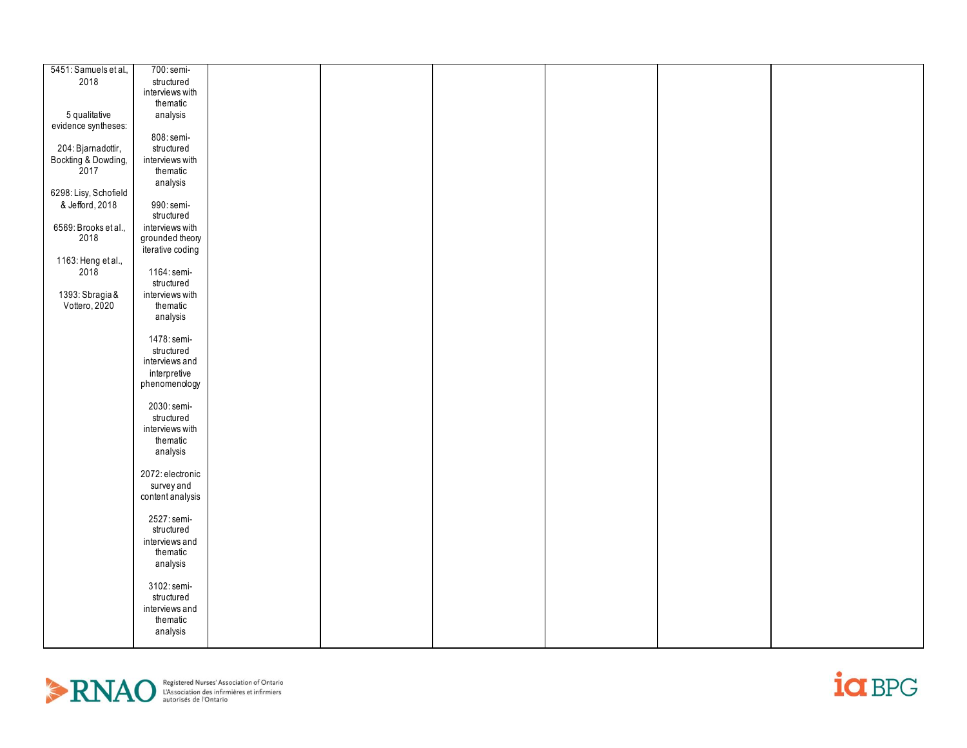| 5451: Samuels et al.,            | 700: semi-       |  |  |  |
|----------------------------------|------------------|--|--|--|
| 2018                             | structured       |  |  |  |
|                                  | interviews with  |  |  |  |
|                                  | thematic         |  |  |  |
| 5 qualitative                    | analysis         |  |  |  |
| evidence syntheses:              |                  |  |  |  |
|                                  |                  |  |  |  |
|                                  | 808: semi-       |  |  |  |
| 204: Bjarnadottir,               | structured       |  |  |  |
| Bockting & Dowding,<br>2017      | interviews with  |  |  |  |
|                                  | thematic         |  |  |  |
|                                  | analysis         |  |  |  |
| 6298: Lisy, Schofield            |                  |  |  |  |
| & Jefford, 2018                  | 990: semi-       |  |  |  |
|                                  | structured       |  |  |  |
| 6569: Brooks et al.,             | interviews with  |  |  |  |
| 2018                             | grounded theory  |  |  |  |
|                                  | iterative coding |  |  |  |
| 1163: Heng et al.,               |                  |  |  |  |
| 2018                             | 1164: semi-      |  |  |  |
|                                  | structured       |  |  |  |
|                                  | interviews with  |  |  |  |
| 1393: Sbragia &<br>Vottero, 2020 | thematic         |  |  |  |
|                                  |                  |  |  |  |
|                                  | analysis         |  |  |  |
|                                  |                  |  |  |  |
|                                  | 1478: semi-      |  |  |  |
|                                  | structured       |  |  |  |
|                                  | interviews and   |  |  |  |
|                                  | interpretive     |  |  |  |
|                                  | phenomenology    |  |  |  |
|                                  |                  |  |  |  |
|                                  | 2030: semi-      |  |  |  |
|                                  | structured       |  |  |  |
|                                  | interviews with  |  |  |  |
|                                  | thematic         |  |  |  |
|                                  | analysis         |  |  |  |
|                                  |                  |  |  |  |
|                                  | 2072: electronic |  |  |  |
|                                  | survey and       |  |  |  |
|                                  | content analysis |  |  |  |
|                                  |                  |  |  |  |
|                                  | 2527: semi-      |  |  |  |
|                                  | structured       |  |  |  |
|                                  |                  |  |  |  |
|                                  | interviews and   |  |  |  |
|                                  | thematic         |  |  |  |
|                                  | analysis         |  |  |  |
|                                  |                  |  |  |  |
|                                  | 3102: semi-      |  |  |  |
|                                  | structured       |  |  |  |
|                                  | interviews and   |  |  |  |
|                                  | thematic         |  |  |  |
|                                  | analysis         |  |  |  |
|                                  |                  |  |  |  |



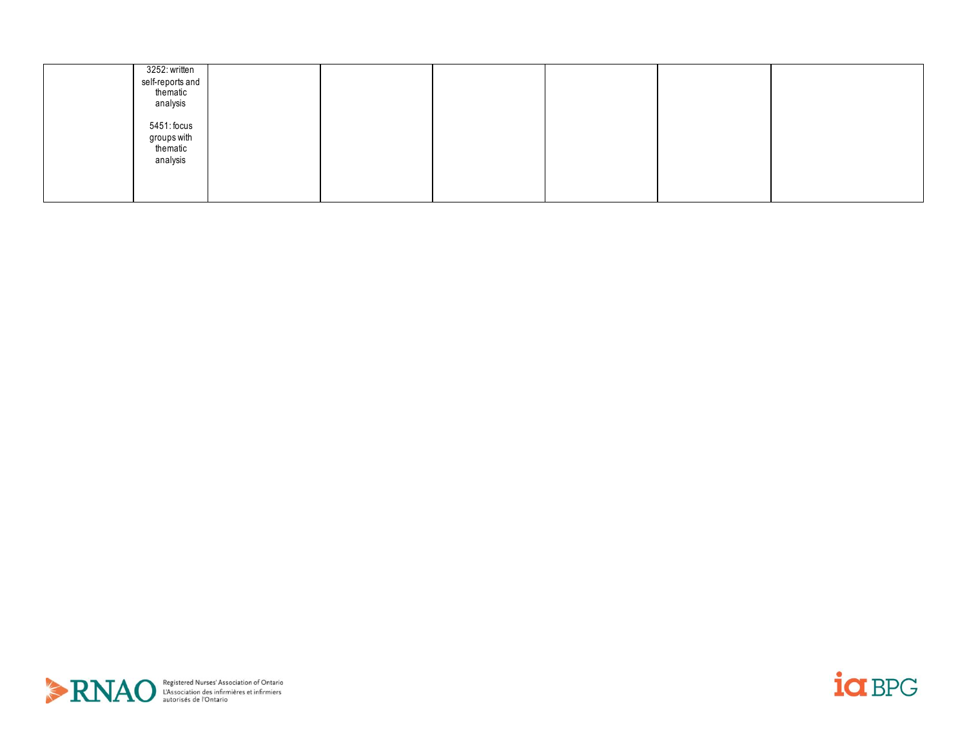| 3252: written<br>self-reports and<br>thematic<br>analysis |  |  |  |
|-----------------------------------------------------------|--|--|--|
| 5451: focus<br>groups with<br>thematic<br>analysis        |  |  |  |
|                                                           |  |  |  |



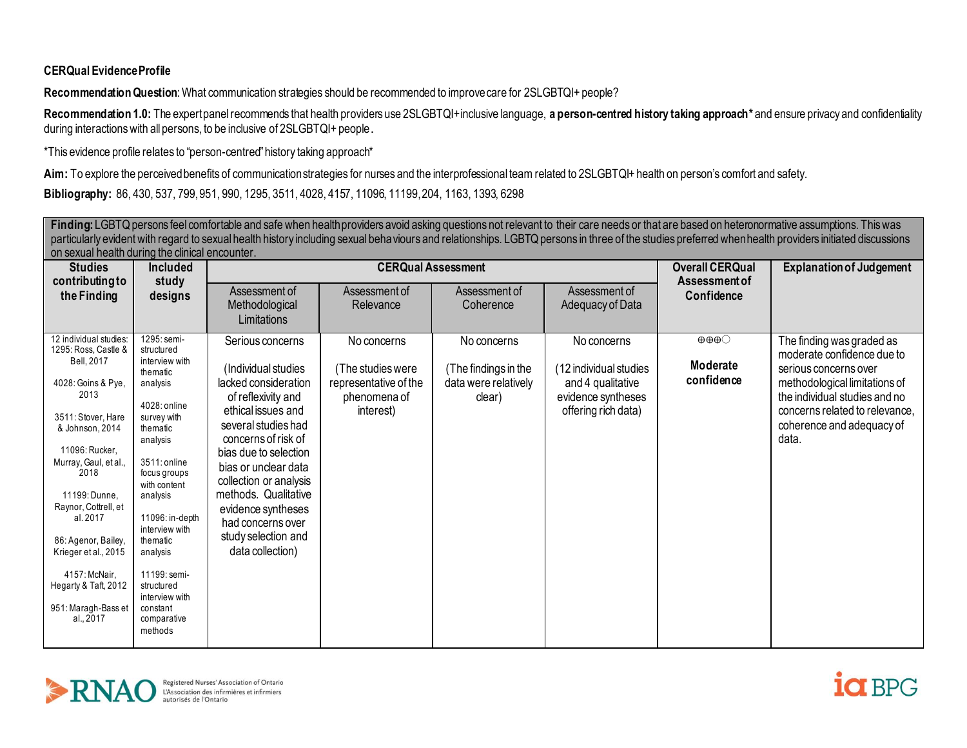## **CERQual Evidence Profile**

**Recommendation Question**: What communication strategies should be recommended to improve care for 2SLGBTQI+ people?

Recommendation 1.0: The expert panel recommends that health providers use 2SLGBTQI+inclusive language, a person-centred history taking approach\* and ensure privacy and confidentiality during interactions with all persons, to be inclusive of 2SLGBTQI+ people.

\*This evidence profile relates to "person-centred" history taking approach\*

**Aim:** To explore the perceived benefits of communication strategies for nurses and the interprofessional team related to 2SLGBTQI+ health on person's comfort and safety.

**Bibliography:** 86, 430, 537, 799, 951, 990, 1295, 3511, 4028, 4157, 11096, 11199, 204, 1163, 1393, 6298

Finding: LGBTQ persons feel comfortable and safe when health providers avoid asking questions not relevant to their care needs or that are based on heteronormative assumptions. This was particularly evident with regard to sexual health history including sexual behaviours and relationships. LGBTQ persons in three of the studies preferred when health providers initiated discussions on sexual health during the clinical encounter.

| <b>Studies</b><br>contributing to                                                                                                                                                                                                                                                                                                                                      | <b>Included</b>                                                                                                                                                                                                                                                                                                                           |                                                                                                                                                                                                                                                                                                                                                    |                                                                                        | <b>CERQual Assessment</b>                                             |                                                                                                         | <b>Overall CERQual</b><br>Assessment of                          | <b>Explanation of Judgement</b>                                                                                                                                                                                            |
|------------------------------------------------------------------------------------------------------------------------------------------------------------------------------------------------------------------------------------------------------------------------------------------------------------------------------------------------------------------------|-------------------------------------------------------------------------------------------------------------------------------------------------------------------------------------------------------------------------------------------------------------------------------------------------------------------------------------------|----------------------------------------------------------------------------------------------------------------------------------------------------------------------------------------------------------------------------------------------------------------------------------------------------------------------------------------------------|----------------------------------------------------------------------------------------|-----------------------------------------------------------------------|---------------------------------------------------------------------------------------------------------|------------------------------------------------------------------|----------------------------------------------------------------------------------------------------------------------------------------------------------------------------------------------------------------------------|
| the Finding                                                                                                                                                                                                                                                                                                                                                            | study<br>designs                                                                                                                                                                                                                                                                                                                          | Assessment of<br>Methodological<br>Limitations                                                                                                                                                                                                                                                                                                     | Assessment of<br>Relevance                                                             | Assessment of<br>Coherence                                            | Assessment of<br>Adequacy of Data                                                                       | Confidence                                                       |                                                                                                                                                                                                                            |
| 12 individual studies:<br>1295: Ross, Castle &<br>Bell, 2017<br>4028: Goins & Pye,<br>2013<br>3511: Stover, Hare<br>& Johnson, 2014<br>11096: Rucker<br>Murray, Gaul, et al.,<br>2018<br>11199: Dunne.<br>Raynor, Cottrell, et<br>al. 2017<br>86: Agenor, Bailey,<br>Krieger et al., 2015<br>4157: McNair,<br>Hegarty & Taft, 2012<br>951: Maragh-Bass et<br>al., 2017 | 1295: semi-<br>structured<br>interview with<br>thematic<br>analysis<br>4028: online<br>survey with<br>thematic<br>analysis<br>3511: online<br>focus groups<br>with content<br>analysis<br>11096: in-depth<br>interview with<br>thematic<br>analysis<br>11199: semi-<br>structured<br>interview with<br>constant<br>comparative<br>methods | Serious concerns<br>(Individual studies<br>lacked consideration<br>of reflexivity and<br>ethical issues and<br>several studies had<br>concerns of risk of<br>bias due to selection<br>bias or unclear data<br>collection or analysis<br>methods. Qualitative<br>evidence syntheses<br>had concerns over<br>study selection and<br>data collection) | No concerns<br>(The studies were<br>representative of the<br>phenomena of<br>interest) | No concerns<br>(The findings in the<br>data were relatively<br>clear) | No concerns<br>(12 individual studies<br>and 4 qualitative<br>evidence syntheses<br>offering rich data) | $\oplus \oplus \oplus \bigcirc$<br><b>Moderate</b><br>confidence | The finding was graded as<br>moderate confidence due to<br>serious concerns over<br>methodological limitations of<br>the individual studies and no<br>concerns related to relevance,<br>coherence and adequacy of<br>data. |



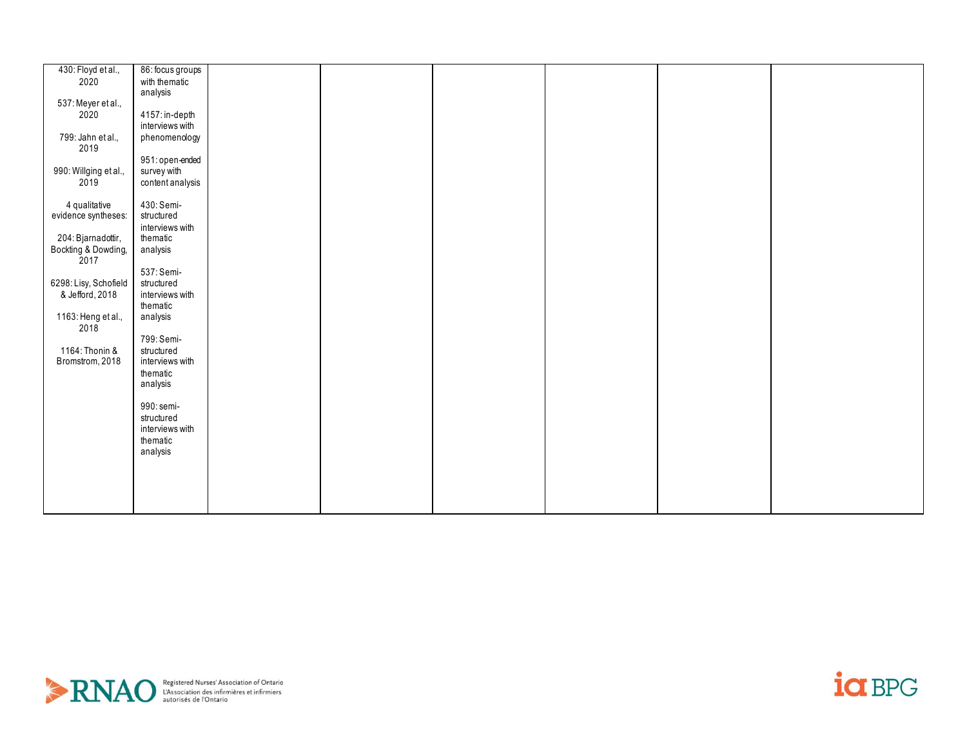| 430: Floyd et al.,          | 86: focus groups |  |  |  |
|-----------------------------|------------------|--|--|--|
|                             |                  |  |  |  |
| 2020                        | with thematic    |  |  |  |
|                             | analysis         |  |  |  |
| 537: Meyer et al.,          |                  |  |  |  |
| 2020                        | 4157: in-depth   |  |  |  |
|                             | interviews with  |  |  |  |
|                             |                  |  |  |  |
| 799: Jahn et al.,<br>2019   | phenomenology    |  |  |  |
|                             |                  |  |  |  |
|                             | 951: open-ended  |  |  |  |
| 990: Willging et al.,       | survey with      |  |  |  |
| 2019                        | content analysis |  |  |  |
|                             |                  |  |  |  |
|                             |                  |  |  |  |
| 4 qualitative               | 430: Semi-       |  |  |  |
| evidence syntheses:         | structured       |  |  |  |
|                             | interviews with  |  |  |  |
| 204: Bjarnadottir,          | thematic         |  |  |  |
|                             | analysis         |  |  |  |
| Bockting & Dowding,<br>2017 |                  |  |  |  |
|                             |                  |  |  |  |
|                             | 537: Semi-       |  |  |  |
| 6298: Lisy, Schofield       | structured       |  |  |  |
| & Jefford, 2018             | interviews with  |  |  |  |
|                             | thematic         |  |  |  |
| 1163: Heng et al.,          | analysis         |  |  |  |
| 2018                        |                  |  |  |  |
|                             | 799: Semi-       |  |  |  |
|                             |                  |  |  |  |
| 1164: Thonin &              | structured       |  |  |  |
| Bromstrom, 2018             | interviews with  |  |  |  |
|                             | thematic         |  |  |  |
|                             | analysis         |  |  |  |
|                             |                  |  |  |  |
|                             | 990: semi-       |  |  |  |
|                             |                  |  |  |  |
|                             | structured       |  |  |  |
|                             | interviews with  |  |  |  |
|                             | thematic         |  |  |  |
|                             | analysis         |  |  |  |
|                             |                  |  |  |  |
|                             |                  |  |  |  |
|                             |                  |  |  |  |
|                             |                  |  |  |  |
|                             |                  |  |  |  |
|                             |                  |  |  |  |



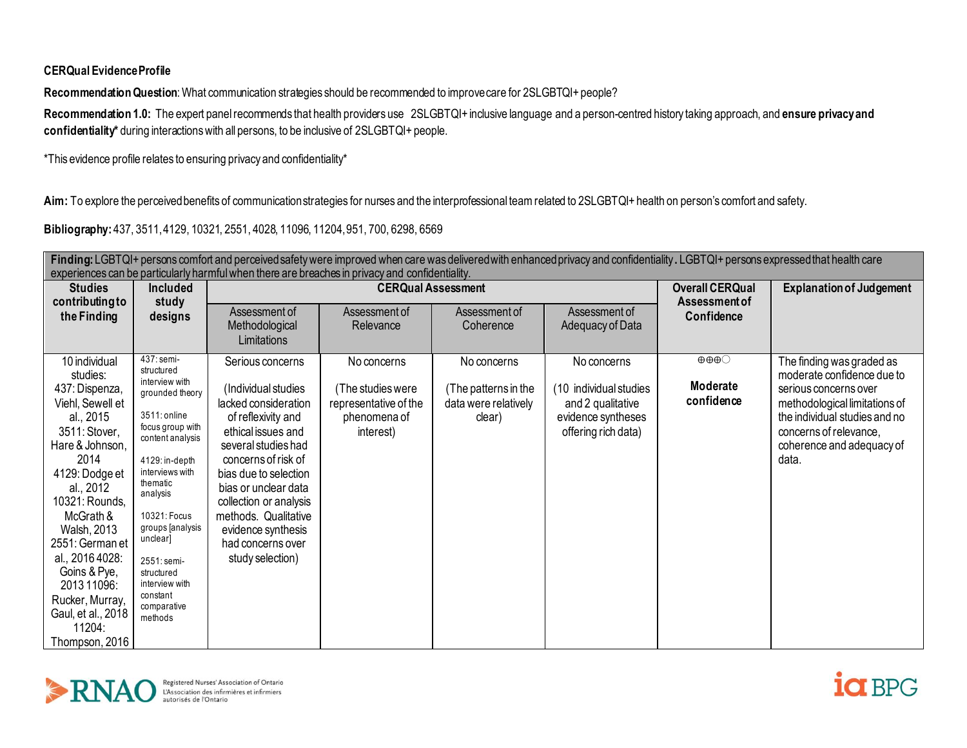**CERQual Evidence Profile**

**Recommendation Question**: What communication strategies should be recommended to improve care for 2SLGBTQI+ people?

**Recommendation 1.0:** The expert panel recommends that health providers use 2SLGBTQI+ inclusive language and a person-centred history taking approach, and **ensure privacy and confidentiality\*** during interactions with all persons, to be inclusive of 2SLGBTQI+ people.

\*This evidence profile relates to ensuring privacy and confidentiality\*

Aim: To explore the perceived benefits of communication strategies for nurses and the interprofessional team related to 2SLGBTQI+ health on person's comfort and safety.

**Bibliography:** 437, 3511, 4129, 10321, 2551, 4028, 11096, 11204, 951, 700, 6298, 6569

|                                                                                                                                                                                                                                                                                                                                                 | Finding: LGBTQI+ persons comfort and perceived safety were improved when care was delivered with enhanced privacy and confidentiality. LGBTQI+ persons expressed that health care<br>experiences can be particularly harmful when there are breaches in privacy and confidentiality.                                                  |                                                                                                                                                                                                                                                                                                                             |                                                                                        |                                                                       |                                                                                                         |                                                           |                                                                                                                                                                                                                    |  |  |  |
|-------------------------------------------------------------------------------------------------------------------------------------------------------------------------------------------------------------------------------------------------------------------------------------------------------------------------------------------------|---------------------------------------------------------------------------------------------------------------------------------------------------------------------------------------------------------------------------------------------------------------------------------------------------------------------------------------|-----------------------------------------------------------------------------------------------------------------------------------------------------------------------------------------------------------------------------------------------------------------------------------------------------------------------------|----------------------------------------------------------------------------------------|-----------------------------------------------------------------------|---------------------------------------------------------------------------------------------------------|-----------------------------------------------------------|--------------------------------------------------------------------------------------------------------------------------------------------------------------------------------------------------------------------|--|--|--|
| <b>Studies</b><br>contributing to                                                                                                                                                                                                                                                                                                               | <b>Included</b><br>study                                                                                                                                                                                                                                                                                                              |                                                                                                                                                                                                                                                                                                                             | <b>CERQual Assessment</b>                                                              |                                                                       |                                                                                                         | <b>Overall CERQual</b><br>Assessment of                   | <b>Explanation of Judgement</b>                                                                                                                                                                                    |  |  |  |
| the Finding                                                                                                                                                                                                                                                                                                                                     | designs                                                                                                                                                                                                                                                                                                                               | Assessment of<br>Methodological<br>Limitations                                                                                                                                                                                                                                                                              | Assessment of<br>Relevance                                                             | Assessment of<br>Coherence                                            | Assessment of<br>Adequacy of Data                                                                       | Confidence                                                |                                                                                                                                                                                                                    |  |  |  |
| 10 individual<br>studies:<br>437: Dispenza,<br>Viehl, Sewell et<br>al., 2015<br>3511: Stover,<br>Hare & Johnson,<br>2014<br>4129: Dodge et<br>al., 2012<br>10321: Rounds,<br>McGrath &<br>Walsh, 2013<br>2551: German et<br>al., 2016 4028:<br>Goins & Pye,<br>2013 11096:<br>Rucker, Murray,<br>Gaul, et al., 2018<br>11204:<br>Thompson, 2016 | $\overline{437}$ : semi-<br>structured<br>interview with<br>grounded theory<br>3511: online<br>focus group with<br>content analysis<br>4129: in-depth<br>interviews with<br>thematic<br>analysis<br>10321: Focus<br>groups [analysis<br>unclear]<br>2551: semi-<br>structured<br>interview with<br>constant<br>comparative<br>methods | Serious concerns<br>(Individual studies<br>lacked consideration<br>of reflexivity and<br>ethical issues and<br>several studies had<br>concerns of risk of<br>bias due to selection<br>bias or unclear data<br>collection or analysis<br>methods. Qualitative<br>evidence synthesis<br>had concerns over<br>study selection) | No concerns<br>(The studies were<br>representative of the<br>phenomena of<br>interest) | No concerns<br>(The patterns in the<br>data were relatively<br>clear) | No concerns<br>(10 individual studies<br>and 2 qualitative<br>evidence syntheses<br>offering rich data) | $\oplus \oplus \oplus \bigcirc$<br>Moderate<br>confidence | The finding was graded as<br>moderate confidence due to<br>serious concerns over<br>methodological limitations of<br>the individual studies and no<br>concerns of relevance,<br>coherence and adequacy of<br>data. |  |  |  |